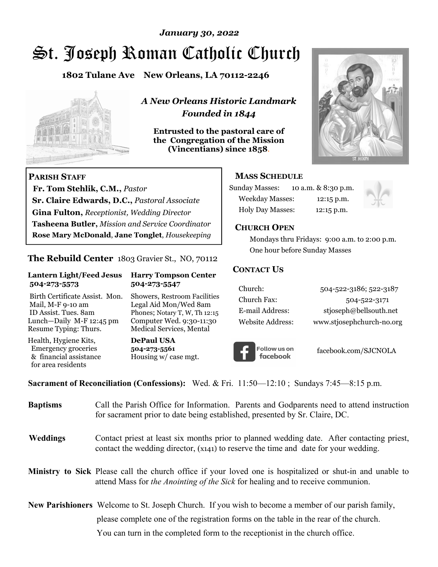# St. Joseph Roman Catholic Church *January 30, 2022*

**1802 Tulane Ave New Orleans, LA 70112-2246**



 **Fr. Tom Stehlik, C.M.,** *Pastor* 

**Sr. Claire Edwards, D.C.,** *Pastoral Associate* **Gina Fulton,** *Receptionist, Wedding Director* 

**Tasheena Butler,** *Mission and Service Coordinator* **Rose Mary McDonald**, **Jane Tonglet**, *Housekeeping*

**The Rebuild Center** 1803 Gravier St., NO, 70112

**Lantern Light/Feed Jesus Harry Tompson Center** 

Birth Certificate Assist. Mon. Showers, Restroom Facilities Mail, M-F 9-10 am Legal Aid Mon/Wed 8am ID Assist. Tues. 8am Phones; Notary T, W, Th 12:15 Lunch—Daily M-F 12:45 pm Computer Wed. 9:30-11:30 Resume Typing: Thurs. Medical Services, Mental

 **504-273-5573 504-273-5547** 

Health, Hygiene Kits, **DePaul USA**  Emergency groceries **504-273-5561**

& financial assistance Housing w/ case mgt.

**PARISH STAFF**

for area residents

*A New Orleans Historic Landmark Founded in 1844* 

**Entrusted to the pastoral care of the Congregation of the Mission (Vincentians) since 1858**.



### **MASS SCHEDULE**

| <b>Sunday Masses:</b>  | 10 a.m. & 8:30 p.m. |
|------------------------|---------------------|
| <b>Weekday Masses:</b> | $12:15$ p.m.        |
| Holy Day Masses:       | 12:15 p.m.          |



### **CHURCH OPEN**

 Mondays thru Fridays: 9:00 a.m. to 2:00 p.m. One hour before Sunday Masses

### **CONTACT US**

| Church:          | 504-522-3186; 522-3187    |
|------------------|---------------------------|
| Church Fax:      | 504-522-3171              |
| E-mail Address:  | stjoseph@bellsouth.net    |
| Website Address: | www.stjosephchurch-no.org |



facebook.com/SJCNOLA

**Sacrament of Reconciliation (Confessions):** Wed. & Fri. 11:50—12:10 ; Sundays 7:45—8:15 p.m.

| <b>Baptisms</b> | Call the Parish Office for Information. Parents and Godparents need to attend instruction<br>for sacrament prior to date being established, presented by Sr. Claire, DC.                                   |  |
|-----------------|------------------------------------------------------------------------------------------------------------------------------------------------------------------------------------------------------------|--|
| <b>Weddings</b> | Contact priest at least six months prior to planned wedding date. After contacting priest,<br>contact the wedding director, (x141) to reserve the time and date for your wedding.                          |  |
|                 | <b>Ministry to Sick</b> Please call the church office if your loved one is hospitalized or shut-in and unable to<br>attend Mass for <i>the Anointing of the Sick</i> for healing and to receive communion. |  |
|                 | <b>New Parishioners</b> Welcome to St. Joseph Church. If you wish to become a member of our parish family,                                                                                                 |  |
|                 | please complete one of the registration forms on the table in the rear of the church.                                                                                                                      |  |
|                 | You can turn in the completed form to the receptionist in the church office.                                                                                                                               |  |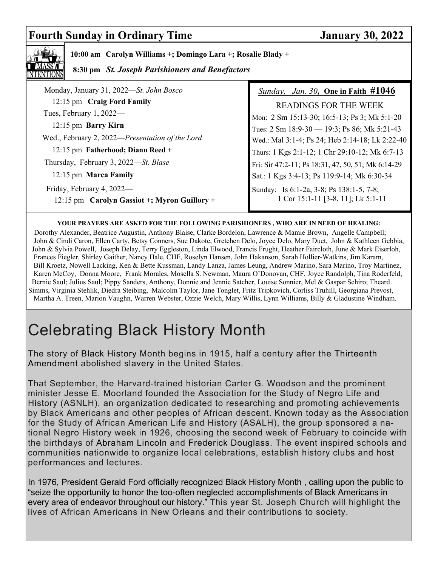# **Fourth Sunday in Ordinary Time January 30, 2022**



 **10:00 am Carolyn Williams +; Domingo Lara +; Rosalie Blady +** 

 **8:30 pm** *St. Joseph Parishioners and Benefactors*

| Monday, January 31, 2022-St. John Bosco         | <i>Sunday, Jan. 30, One in Faith <math>#1046</math></i> |
|-------------------------------------------------|---------------------------------------------------------|
| 12:15 pm Craig Ford Family                      | <b>READINGS FOR THE WEEK</b>                            |
| Tues, February 1, 2022-                         | Mon: 2 Sm 15:13-30; 16:5-13; Ps 3; Mk 5:1-20            |
| 12:15 pm Barry Kirn                             | Tues: 2 Sm 18:9-30 - 19:3; Ps 86; Mk 5:21-43            |
| Wed., February 2, 2022-Presentation of the Lord | Wed.: Mal 3:1-4; Ps 24; Heb 2:14-18; Lk 2:22-40         |
| 12:15 pm Fatherhood; Diann Reed +               | Thurs: 1 Kgs 2:1-12; 1 Chr 29:10-12; Mk 6:7-13          |
| Thursday, February 3, 2022—St. Blase            | Fri: Sir 47:2-11; Ps 18:31, 47, 50, 51; Mk 6:14-29      |
| 12:15 pm Marca Family                           | Sat.: 1 Kgs 3:4-13; Ps 119:9-14; Mk 6:30-34             |
| Friday, February 4, 2022—                       | Sunday: Is 6:1-2a, 3-8; Ps 138:1-5, 7-8;                |
| 12:15 pm Carolyn Gassiot +; Myron Guillory +    | 1 Cor 15:1-11 [3-8, 11]; Lk 5:1-11                      |
|                                                 |                                                         |

#### **YOUR PRAYERS ARE ASKED FOR THE FOLLOWING PARISHIONERS , WHO ARE IN NEED OF HEALING:**

 Dorothy Alexander, Beatrice Augustin, Anthony Blaise, Clarke Bordelon, Lawrence & Mamie Brown, Angelle Campbell; John & Cindi Caron, Ellen Carty, Betsy Conners, Sue Dakote, Gretchen Delo, Joyce Delo, Mary Duet, John & Kathleen Gebbia, John & Sylvia Powell, Joseph Delay, Terry Eggleston, Linda Elwood, Francis Frught, Heather Faircloth, June & Mark Eiserloh, Frances Fiegler, Shirley Gaither, Nancy Hale, CHF, Roselyn Hansen, John Hakanson, Sarah Hollier-Watkins, Jim Karam, Bill Kroetz, Nowell Lacking, Ken & Bette Kussman, Landy Lanza, James Leung, Andrew Marino, Sara Marino, Troy Martinez, Karen McCoy, Donna Moore, Frank Morales, Mosella S. Newman, Maura O'Donovan, CHF, Joyce Randolph, Tina Roderfeld, Bernie Saul; Julius Saul; Pippy Sanders, Anthony, Donnie and Jennie Satcher, Louise Sonnier, Mel & Gaspar Schiro; Theard Simms, Virginia Stehlik, Diedra Steibing, Malcolm Taylor, Jane Tonglet, Fritz Tripkovich, Corliss Truhill, Georgiana Prevost, Martha A. Treen, Marion Vaughn, Warren Webster, Ozzie Welch, Mary Willis, Lynn Williams, Billy & Gladustine Windham.

# Celebrating Black History Month

The story of Black History Month begins in 1915, half a century after the Thirteenth Amendment abolished slavery in the United States.

That September, the Harvard-trained historian Carter G. Woodson and the prominent minister Jesse E. Moorland founded the Association for the Study of Negro Life and History (ASNLH), an organization dedicated to researching and promoting achievements by Black Americans and other peoples of African descent. Known today as the Association for the Study of African American Life and History (ASALH), the group sponsored a national Negro History week in 1926, choosing the second week of February to coincide with the birthdays of Abraham Lincoln and Frederick Douglass. The event inspired schools and communities nationwide to organize local celebrations, establish history clubs and host performances and lectures.

In 1976, President Gerald Ford officially recognized Black History Month , calling upon the public to "seize the opportunity to honor the too-often neglected accomplishments of Black Americans in every area of endeavor throughout our history." This year St. Joseph Church will highlight the lives of African Americans in New Orleans and their contributions to society.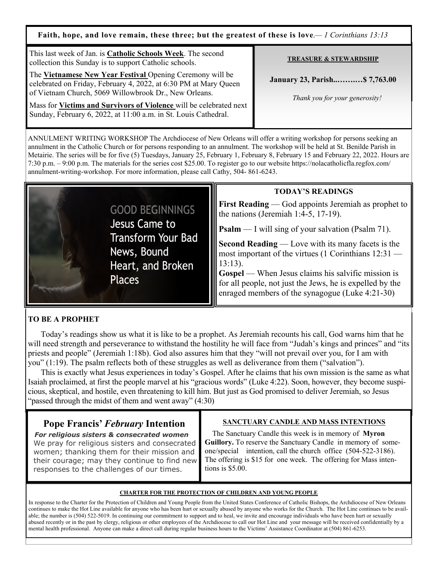**Faith, hope, and love remain, these three; but the greatest of these is love**.*— 1 Corinthians 13:13*

| This last week of Jan. is Catholic Schools Week. The second<br>collection this Sunday is to support Catholic schools.                                                                                                                                                                                                           | <b>TREASURE &amp; STEWARDSHIP</b>                               |
|---------------------------------------------------------------------------------------------------------------------------------------------------------------------------------------------------------------------------------------------------------------------------------------------------------------------------------|-----------------------------------------------------------------|
| The Vietnamese New Year Festival Opening Ceremony will be<br>celebrated on Friday, February 4, 2022, at 6:30 PM at Mary Queen<br>of Vietnam Church, 5069 Willowbrook Dr., New Orleans.<br>Mass for Victims and Survivors of Violence will be celebrated next<br>Sunday, February 6, 2022, at 11:00 a.m. in St. Louis Cathedral. | January 23, Parish \$7,763.00<br>Thank you for your generosity! |

ANNULMENT WRITING WORKSHOP The Archdiocese of New Orleans will offer a writing workshop for persons seeking an annulment in the Catholic Church or for persons responding to an annulment. The workshop will be held at St. Benilde Parish in Metairie. The series will be for five (5) Tuesdays, January 25, February 1, February 8, February 15 and February 22, 2022. Hours are 7:30 p.m. – 9:00 p.m. The materials for the series cost \$25.00. To register go to our website https://nolacatholicfla.regfox.com/ annulment-writing-workshop. For more information, please call Cathy, 504- 861-6243.



### **TODAY'S READINGS**

**First Reading** — God appoints Jeremiah as prophet to the nations (Jeremiah 1:4-5, 17-19).

**Psalm** — I will sing of your salvation (Psalm 71).

**Second Reading** — Love with its many facets is the most important of the virtues (1 Corinthians 12:31 — 13:13).

**Gospel** — When Jesus claims his salvific mission is for all people, not just the Jews, he is expelled by the enraged members of the synagogue (Luke 4:21-30)

### **TO BE A PROPHET**

 Today's readings show us what it is like to be a prophet. As Jeremiah recounts his call, God warns him that he will need strength and perseverance to withstand the hostility he will face from "Judah's kings and princes" and "its priests and people" (Jeremiah 1:18b). God also assures him that they "will not prevail over you, for I am with you" (1:19). The psalm reflects both of these struggles as well as deliverance from them ("salvation").

 This is exactly what Jesus experiences in today's Gospel. After he claims that his own mission is the same as what Isaiah proclaimed, at first the people marvel at his "gracious words" (Luke 4:22). Soon, however, they become suspicious, skeptical, and hostile, even threatening to kill him. But just as God promised to deliver Jeremiah, so Jesus "passed through the midst of them and went away" (4:30)

## **Pope Francis'** *February* **Intention**

*For religious sisters & consecrated women* We pray for religious sisters and consecrated women; thanking them for their mission and their courage; may they continue to find new responses to the challenges of our times.

### **SANCTUARY CANDLE AND MASS INTENTIONS**

 The Sanctuary Candle this week is in memory of **Myron Guillory.** To reserve the Sanctuary Candle in memory of someone/special intention, call the church office (504-522-3186). The offering is \$15 for one week. The offering for Mass intentions is \$5.00.

### **CHARTER FOR THE PROTECTION OF CHILDREN AND YOUNG PEOPLE**

In response to the Charter for the Protection of Children and Young People from the United States Conference of Catholic Bishops, the Archdiocese of New Orleans continues to make the Hot Line available for anyone who has been hurt or sexually abused by anyone who works for the Church. The Hot Line continues to be available; the number is (504) 522-5019. In continuing our commitment to support and to heal, we invite and encourage individuals who have been hurt or sexually abused recently or in the past by clergy, religious or other employees of the Archdiocese to call our Hot Line and your message will be received confidentially by a mental health professional. Anyone can make a direct call during regular business hours to the Victims' Assistance Coordinator at (504) 861-6253.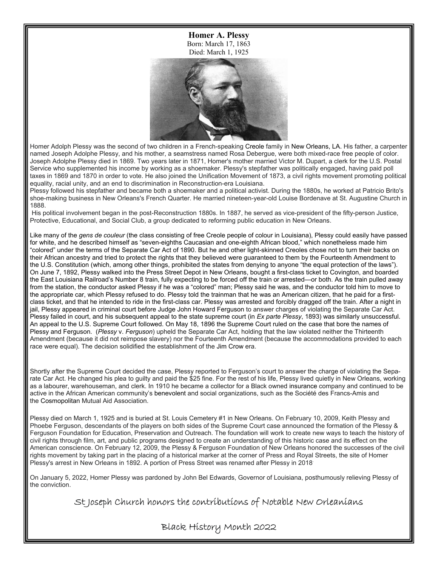**Homer A. Plessy** Born: March 17, 1863 Died: March 1, 1925



Homer Adolph Plessy was the second of two children in a French-speaking Creole family in New Orleans, LA. His father, a carpenter named Joseph Adolphe Plessy, and his mother, a seamstress named Rosa Debergue, were both mixed-race free people of color. Joseph Adolphe Plessy died in 1869. Two years later in 1871, Homer's mother married Victor M. Dupart, a clerk for the U.S. Postal Service who supplemented his income by working as a shoemaker. Plessy's stepfather was politically engaged, having paid poll taxes in 1869 and 1870 in order to vote. He also joined the Unification Movement of 1873, a civil rights movement promoting political equality, racial unity, and an end to discrimination in Reconstruction-era Louisiana.

Plessy followed his stepfather and became both a shoemaker and a political activist. During the 1880s, he worked at Patricio Brito's shoe-making business in New Orleans's French Quarter. He married nineteen-year-old Louise Bordenave at St. Augustine Church in 1888.

 His political involvement began in the post-Reconstruction 1880s. In 1887, he served as vice-president of the fifty-person Justice, Protective, Educational, and Social Club, a group dedicated to reforming public education in New Orleans.

Like many of the *gens de couleur* (the class consisting of free Creole people of colour in Louisiana), Plessy could easily have passed for white, and he described himself as "seven-eighths Caucasian and one-eighth African blood," which nonetheless made him "colored" under the terms of the Separate Car Act of 1890. But he and other light-skinned Creoles chose not to turn their backs on their African ancestry and tried to protect the rights that they believed were guaranteed to them by the Fourteenth Amendment to the U.S. Constitution (which, among other things, prohibited the states from denying to anyone "the equal protection of the laws"). On June 7, 1892, Plessy walked into the Press Street Depot in New Orleans, bought a first-class ticket to Covington, and boarded the East Louisiana Railroad's Number 8 train, fully expecting to be forced off the train or arrested—or both. As the train pulled away from the station, the conductor asked Plessy if he was a "colored" man; Plessy said he was, and the conductor told him to move to the appropriate car, which Plessy refused to do. Plessy told the trainman that he was an American citizen, that he paid for a firstclass ticket, and that he intended to ride in the first-class car. Plessy was arrested and forcibly dragged off the train. After a night in jail, Plessy appeared in criminal court before Judge John Howard Ferguson to answer charges of violating the Separate Car Act. Plessy failed in court, and his subsequent appeal to the state supreme court (in *Ex parte Plessy*, 1893) was similarly unsuccessful. An appeal to the U.S. Supreme Court followed. On May 18, 1896 the Supreme Court ruled on the case that bore the names of Plessy and Ferguson. (*Plessy* v. *Ferguson*) upheld the Separate Car Act, holding that the law violated neither the Thirteenth Amendment (because it did not reimpose slavery) nor the Fourteenth Amendment (because the accommodations provided to each race were equal). The decision solidified the establishment of the Jim Crow era.

Shortly after the Supreme Court decided the case, Plessy reported to Ferguson's court to answer the charge of violating the Separate Car Act. He changed his plea to guilty and paid the \$25 fine. For the rest of his life, Plessy lived quietly in New Orleans, working as a labourer, warehouseman, and clerk. In 1910 he became a collector for a Black owned insurance company and continued to be active in the African American community's benevolent and social organizations, such as the Société des Francs-Amis and the Cosmopolitan Mutual Aid Association.

Plessy died on March 1, 1925 and is buried at St. Louis Cemetery #1 in New Orleans. On February 10, 2009, Keith Plessy and Phoebe Ferguson, descendants of the players on both sides of the Supreme Court case announced the formation of the Plessy & Ferguson Foundation for Education, Preservation and Outreach. The foundation will work to create new ways to teach the history of civil rights through film, art, and public programs designed to create an understanding of this historic case and its effect on the American conscience. On February 12, 2009, the Plessy & Ferguson Foundation of New Orleans honored the successes of the civil rights movement by taking part in the placing of a historical marker at the corner of Press and Royal Streets, the site of Homer Plessy's arrest in New Orleans in 1892. A portion of Press Street was renamed after Plessy in 2018.

On January 5, 2022, Homer Plessy was pardoned by John Bel Edwards, Governor of Louisiana, posthumously relieving Plessy of the conviction.

St Joseph Church honors the contributions of Notable New Orleanians

Black History Month 2022